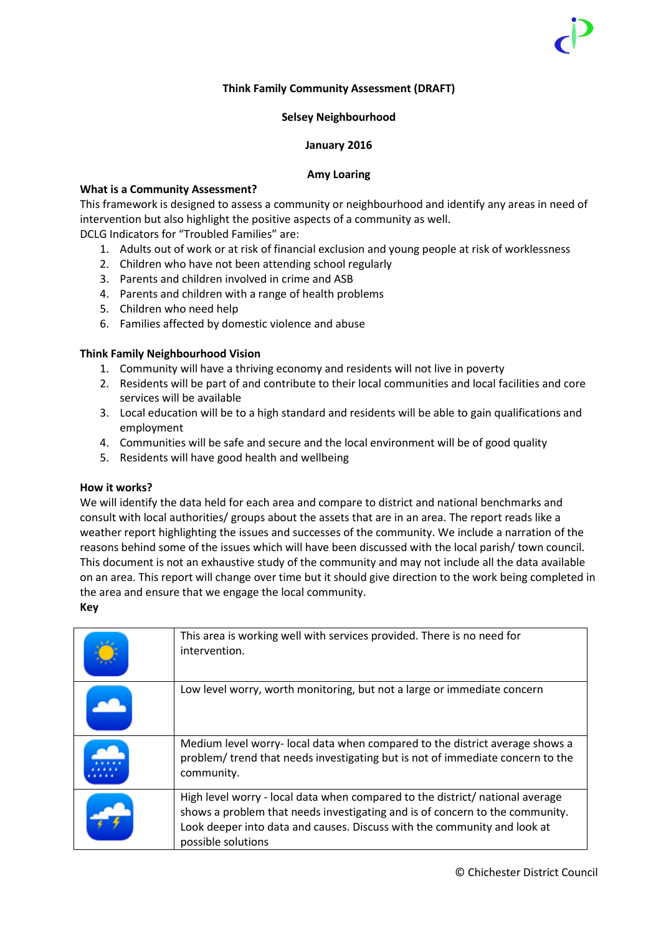## **Think Family Community Assessment (DRAFT)**

## **Selsey Neighbourhood**

## **January 2016**

## **Amy Loaring**

## **What is a Community Assessment?**

This framework is designed to assess a community or neighbourhood and identify any areas in need of intervention but also highlight the positive aspects of a community as well.

DCLG Indicators for "Troubled Families" are:

- 1. Adults out of work or at risk of financial exclusion and young people at risk of worklessness
- 2. Children who have not been attending school regularly
- 3. Parents and children involved in crime and ASB
- 4. Parents and children with a range of health problems
- 5. Children who need help
- 6. Families affected by domestic violence and abuse

## **Think Family Neighbourhood Vision**

- 1. Community will have a thriving economy and residents will not live in poverty
- 2. Residents will be part of and contribute to their local communities and local facilities and core services will be available
- 3. Local education will be to a high standard and residents will be able to gain qualifications and employment
- 4. Communities will be safe and secure and the local environment will be of good quality
- 5. Residents will have good health and wellbeing

## **How it works?**

We will identify the data held for each area and compare to district and national benchmarks and consult with local authorities/ groups about the assets that are in an area. The report reads like a weather report highlighting the issues and successes of the community. We include a narration of the reasons behind some of the issues which will have been discussed with the local parish/ town council. This document is not an exhaustive study of the community and may not include all the data available on an area. This report will change over time but it should give direction to the work being completed in the area and ensure that we engage the local community. **Key** 

| This area is working well with services provided. There is no need for<br>intervention.                                                                                                                                                                         |
|-----------------------------------------------------------------------------------------------------------------------------------------------------------------------------------------------------------------------------------------------------------------|
| Low level worry, worth monitoring, but not a large or immediate concern                                                                                                                                                                                         |
| Medium level worry- local data when compared to the district average shows a<br>problem/trend that needs investigating but is not of immediate concern to the<br>community.                                                                                     |
| High level worry - local data when compared to the district/ national average<br>shows a problem that needs investigating and is of concern to the community.<br>Look deeper into data and causes. Discuss with the community and look at<br>possible solutions |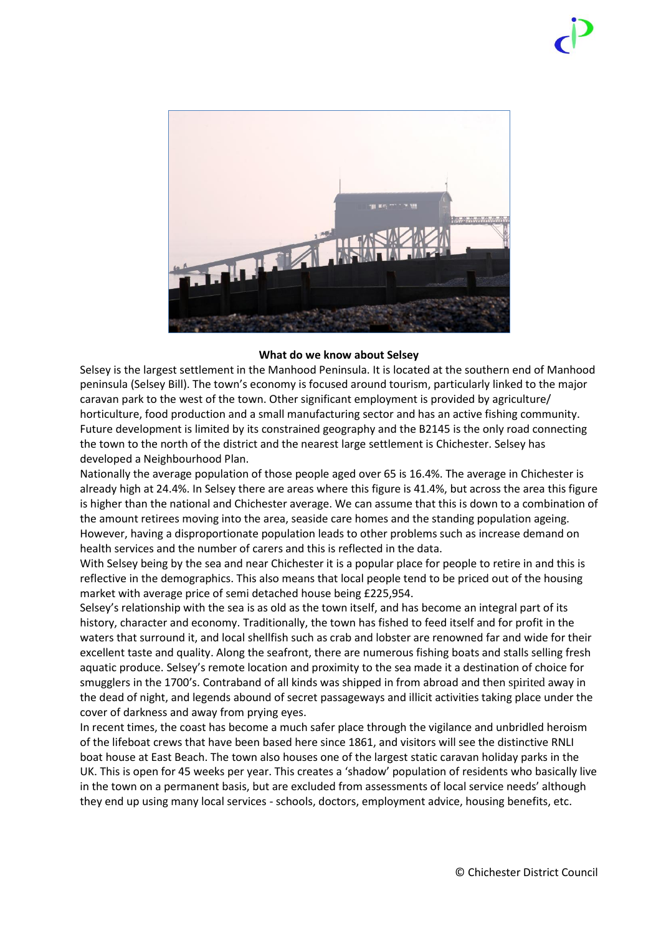

## **What do we know about Selsey**

Selsey is the largest settlement in the Manhood Peninsula. It is located at the southern end of Manhood peninsula (Selsey Bill). The town's economy is focused around tourism, particularly linked to the major caravan park to the west of the town. Other significant employment is provided by agriculture/ horticulture, food production and a small manufacturing sector and has an active fishing community. Future development is limited by its constrained geography and the B2145 is the only road connecting the town to the north of the district and the nearest large settlement is Chichester. Selsey has developed a Neighbourhood Plan.

Nationally the average population of those people aged over 65 is 16.4%. The average in Chichester is already high at 24.4%. In Selsey there are areas where this figure is 41.4%, but across the area this figure is higher than the national and Chichester average. We can assume that this is down to a combination of the amount retirees moving into the area, seaside care homes and the standing population ageing. However, having a disproportionate population leads to other problems such as increase demand on health services and the number of carers and this is reflected in the data.

With Selsey being by the sea and near Chichester it is a popular place for people to retire in and this is reflective in the demographics. This also means that local people tend to be priced out of the housing market with average price of semi detached house being £225,954.

Selsey's relationship with the sea is as old as the town itself, and has become an integral part of its history, character and economy. Traditionally, the town has fished to feed itself and for profit in the waters that surround it, and local shellfish such as crab and lobster are renowned far and wide for their excellent taste and quality. Along the seafront, there are numerous fishing boats and stalls selling fresh aquatic produce. Selsey's remote location and proximity to the sea made it a destination of choice for smugglers in the 1700's. Contraband of all kinds was shipped in from abroad and then spirited away in the dead of night, and legends abound of secret passageways and illicit activities taking place under the cover of darkness and away from prying eyes.

In recent times, the coast has become a much safer place through the vigilance and unbridled heroism of the lifeboat crews that have been based here since 1861, and visitors will see the distinctive RNLI boat house at East Beach. The town also houses one of the largest static caravan holiday parks in the UK. This is open for 45 weeks per year. This creates a 'shadow' population of residents who basically live in the town on a permanent basis, but are excluded from assessments of local service needs' although they end up using many local services - schools, doctors, employment advice, housing benefits, etc.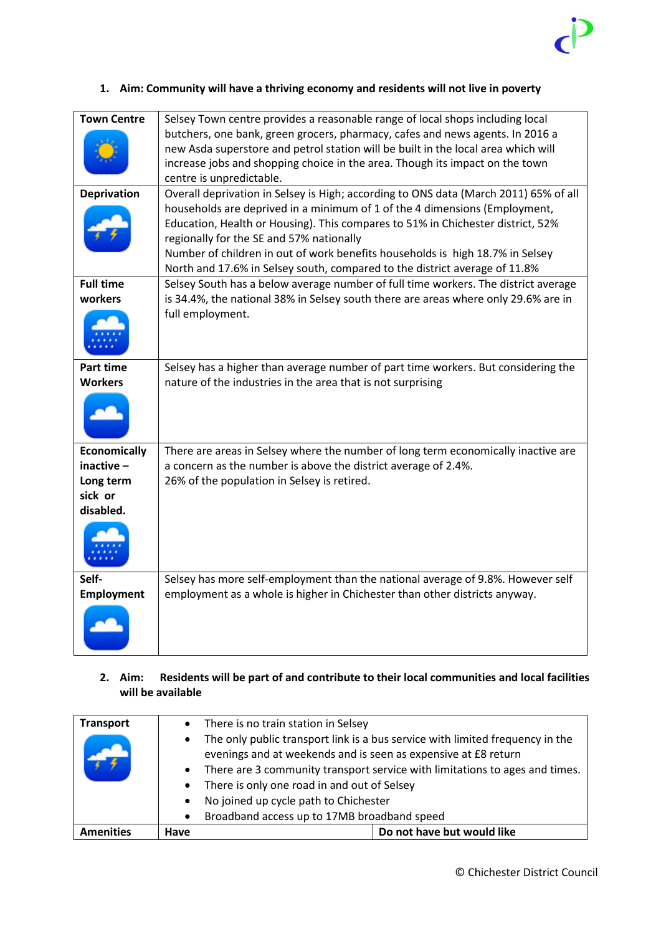

## **1. Aim: Community will have a thriving economy and residents will not live in poverty**

| <b>Town Centre</b><br><b>Deprivation</b>                              | Selsey Town centre provides a reasonable range of local shops including local<br>butchers, one bank, green grocers, pharmacy, cafes and news agents. In 2016 a<br>new Asda superstore and petrol station will be built in the local area which will<br>increase jobs and shopping choice in the area. Though its impact on the town<br>centre is unpredictable.<br>Overall deprivation in Selsey is High; according to ONS data (March 2011) 65% of all<br>households are deprived in a minimum of 1 of the 4 dimensions (Employment,<br>Education, Health or Housing). This compares to 51% in Chichester district, 52%<br>regionally for the SE and 57% nationally<br>Number of children in out of work benefits households is high 18.7% in Selsey<br>North and 17.6% in Selsey south, compared to the district average of 11.8% |
|-----------------------------------------------------------------------|-------------------------------------------------------------------------------------------------------------------------------------------------------------------------------------------------------------------------------------------------------------------------------------------------------------------------------------------------------------------------------------------------------------------------------------------------------------------------------------------------------------------------------------------------------------------------------------------------------------------------------------------------------------------------------------------------------------------------------------------------------------------------------------------------------------------------------------|
| <b>Full time</b><br>workers                                           | Selsey South has a below average number of full time workers. The district average<br>is 34.4%, the national 38% in Selsey south there are areas where only 29.6% are in<br>full employment.                                                                                                                                                                                                                                                                                                                                                                                                                                                                                                                                                                                                                                        |
| <b>Part time</b><br><b>Workers</b>                                    | Selsey has a higher than average number of part time workers. But considering the<br>nature of the industries in the area that is not surprising                                                                                                                                                                                                                                                                                                                                                                                                                                                                                                                                                                                                                                                                                    |
| <b>Economically</b><br>inactive-<br>Long term<br>sick or<br>disabled. | There are areas in Selsey where the number of long term economically inactive are<br>a concern as the number is above the district average of 2.4%.<br>26% of the population in Selsey is retired.                                                                                                                                                                                                                                                                                                                                                                                                                                                                                                                                                                                                                                  |
| Self-<br><b>Employment</b>                                            | Selsey has more self-employment than the national average of 9.8%. However self<br>employment as a whole is higher in Chichester than other districts anyway.                                                                                                                                                                                                                                                                                                                                                                                                                                                                                                                                                                                                                                                                       |

## **2. Aim: Residents will be part of and contribute to their local communities and local facilities will be available**

| <b>Transport</b> | $\bullet$ | There is no train station in Selsey                                                                                                             |  |
|------------------|-----------|-------------------------------------------------------------------------------------------------------------------------------------------------|--|
|                  | $\bullet$ | The only public transport link is a bus service with limited frequency in the<br>evenings and at weekends and is seen as expensive at £8 return |  |
|                  | $\bullet$ | There are 3 community transport service with limitations to ages and times.                                                                     |  |
|                  | $\bullet$ | There is only one road in and out of Selsey                                                                                                     |  |
|                  | $\bullet$ | No joined up cycle path to Chichester                                                                                                           |  |
|                  | $\bullet$ | Broadband access up to 17MB broadband speed                                                                                                     |  |
| <b>Amenities</b> | Have      | Do not have but would like                                                                                                                      |  |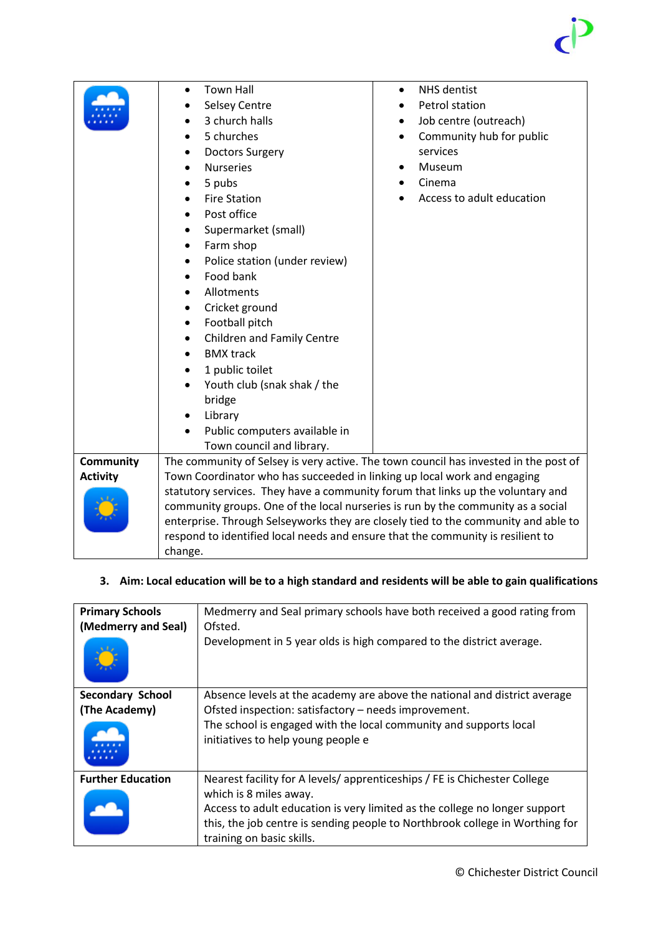|                 | <b>Town Hall</b>                                                                     | <b>NHS</b> dentist<br>$\bullet$       |  |
|-----------------|--------------------------------------------------------------------------------------|---------------------------------------|--|
|                 | <b>Selsey Centre</b>                                                                 | Petrol station                        |  |
|                 | 3 church halls                                                                       | Job centre (outreach)<br>$\bullet$    |  |
|                 | 5 churches                                                                           | Community hub for public<br>$\bullet$ |  |
|                 | <b>Doctors Surgery</b>                                                               | services                              |  |
|                 | <b>Nurseries</b><br>$\bullet$                                                        | Museum                                |  |
|                 | 5 pubs                                                                               | Cinema                                |  |
|                 | <b>Fire Station</b>                                                                  | Access to adult education             |  |
|                 | Post office                                                                          |                                       |  |
|                 | Supermarket (small)                                                                  |                                       |  |
|                 | Farm shop                                                                            |                                       |  |
|                 | Police station (under review)<br>٠                                                   |                                       |  |
|                 | Food bank                                                                            |                                       |  |
|                 | Allotments                                                                           |                                       |  |
|                 | Cricket ground<br>$\bullet$                                                          |                                       |  |
|                 | Football pitch<br>$\bullet$                                                          |                                       |  |
|                 | Children and Family Centre                                                           |                                       |  |
|                 | <b>BMX track</b>                                                                     |                                       |  |
|                 | 1 public toilet                                                                      |                                       |  |
|                 | Youth club (snak shak / the                                                          |                                       |  |
|                 | bridge                                                                               |                                       |  |
|                 | Library                                                                              |                                       |  |
|                 | Public computers available in<br>$\bullet$                                           |                                       |  |
|                 | Town council and library.                                                            |                                       |  |
| Community       | The community of Selsey is very active. The town council has invested in the post of |                                       |  |
| <b>Activity</b> | Town Coordinator who has succeeded in linking up local work and engaging             |                                       |  |
|                 | statutory services. They have a community forum that links up the voluntary and      |                                       |  |
|                 | community groups. One of the local nurseries is run by the community as a social     |                                       |  |
|                 | enterprise. Through Selseyworks they are closely tied to the community and able to   |                                       |  |
|                 | respond to identified local needs and ensure that the community is resilient to      |                                       |  |
|                 | change.                                                                              |                                       |  |
|                 |                                                                                      |                                       |  |

# **3. Aim: Local education will be to a high standard and residents will be able to gain qualifications**

| <b>Primary Schools</b><br>(Medmerry and Seal) | Medmerry and Seal primary schools have both received a good rating from<br>Ofsted.<br>Development in 5 year olds is high compared to the district average.                                                                                                                                    |
|-----------------------------------------------|-----------------------------------------------------------------------------------------------------------------------------------------------------------------------------------------------------------------------------------------------------------------------------------------------|
| <b>Secondary School</b><br>(The Academy)      | Absence levels at the academy are above the national and district average<br>Ofsted inspection: satisfactory - needs improvement.<br>The school is engaged with the local community and supports local<br>initiatives to help young people e                                                  |
| <b>Further Education</b>                      | Nearest facility for A levels/apprenticeships / FE is Chichester College<br>which is 8 miles away.<br>Access to adult education is very limited as the college no longer support<br>this, the job centre is sending people to Northbrook college in Worthing for<br>training on basic skills. |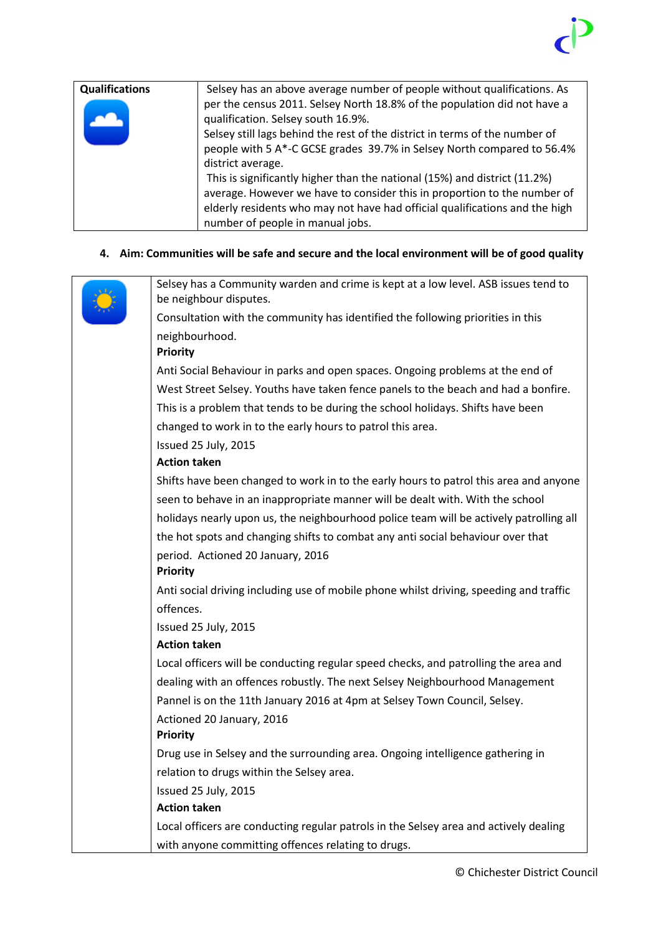| <b>Qualifications</b> | Selsey has an above average number of people without qualifications. As     |
|-----------------------|-----------------------------------------------------------------------------|
|                       | per the census 2011. Selsey North 18.8% of the population did not have a    |
|                       | qualification. Selsey south 16.9%.                                          |
|                       | Selsey still lags behind the rest of the district in terms of the number of |
|                       | people with 5 A*-C GCSE grades 39.7% in Selsey North compared to 56.4%      |
|                       | district average.                                                           |
|                       | This is significantly higher than the national (15%) and district (11.2%)   |
|                       | average. However we have to consider this in proportion to the number of    |
|                       | elderly residents who may not have had official qualifications and the high |
|                       | number of people in manual jobs.                                            |

# **4. Aim: Communities will be safe and secure and the local environment will be of good quality**

| Selsey has a Community warden and crime is kept at a low level. ASB issues tend to<br>be neighbour disputes. |
|--------------------------------------------------------------------------------------------------------------|
| Consultation with the community has identified the following priorities in this                              |
| neighbourhood.                                                                                               |
| <b>Priority</b>                                                                                              |
| Anti Social Behaviour in parks and open spaces. Ongoing problems at the end of                               |
| West Street Selsey. Youths have taken fence panels to the beach and had a bonfire.                           |
| This is a problem that tends to be during the school holidays. Shifts have been                              |
| changed to work in to the early hours to patrol this area.                                                   |
| Issued 25 July, 2015                                                                                         |
| <b>Action taken</b>                                                                                          |
| Shifts have been changed to work in to the early hours to patrol this area and anyone                        |
| seen to behave in an inappropriate manner will be dealt with. With the school                                |
| holidays nearly upon us, the neighbourhood police team will be actively patrolling all                       |
| the hot spots and changing shifts to combat any anti social behaviour over that                              |
| period. Actioned 20 January, 2016                                                                            |
| <b>Priority</b>                                                                                              |
| Anti social driving including use of mobile phone whilst driving, speeding and traffic                       |
| offences.                                                                                                    |
| Issued 25 July, 2015                                                                                         |
| <b>Action taken</b>                                                                                          |
| Local officers will be conducting regular speed checks, and patrolling the area and                          |
| dealing with an offences robustly. The next Selsey Neighbourhood Management                                  |
| Pannel is on the 11th January 2016 at 4pm at Selsey Town Council, Selsey.                                    |
| Actioned 20 January, 2016                                                                                    |
| <b>Priority</b>                                                                                              |
| Drug use in Selsey and the surrounding area. Ongoing intelligence gathering in                               |
| relation to drugs within the Selsey area.                                                                    |
| Issued 25 July, 2015                                                                                         |
| <b>Action taken</b>                                                                                          |
| Local officers are conducting regular patrols in the Selsey area and actively dealing                        |
| with anyone committing offences relating to drugs.                                                           |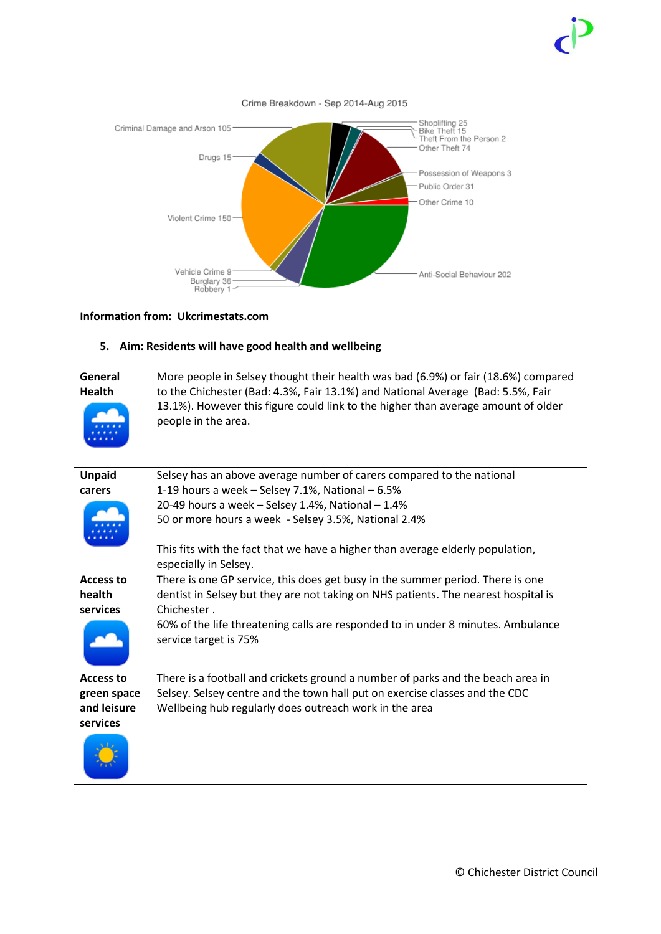

## **Information from: Ukcrimestats.com**

## **5. Aim: Residents will have good health and wellbeing**

| General<br><b>Health</b> | More people in Selsey thought their health was bad (6.9%) or fair (18.6%) compared<br>to the Chichester (Bad: 4.3%, Fair 13.1%) and National Average (Bad: 5.5%, Fair<br>13.1%). However this figure could link to the higher than average amount of older<br>people in the area. |
|--------------------------|-----------------------------------------------------------------------------------------------------------------------------------------------------------------------------------------------------------------------------------------------------------------------------------|
| <b>Unpaid</b>            | Selsey has an above average number of carers compared to the national                                                                                                                                                                                                             |
| carers                   | 1-19 hours a week - Selsey 7.1%, National - 6.5%                                                                                                                                                                                                                                  |
|                          | 20-49 hours a week - Selsey 1.4%, National - 1.4%                                                                                                                                                                                                                                 |
|                          | 50 or more hours a week - Selsey 3.5%, National 2.4%                                                                                                                                                                                                                              |
|                          | This fits with the fact that we have a higher than average elderly population,                                                                                                                                                                                                    |
|                          | especially in Selsey.                                                                                                                                                                                                                                                             |
| <b>Access to</b>         | There is one GP service, this does get busy in the summer period. There is one                                                                                                                                                                                                    |
| health                   | dentist in Selsey but they are not taking on NHS patients. The nearest hospital is                                                                                                                                                                                                |
| services                 | Chichester.                                                                                                                                                                                                                                                                       |
|                          | 60% of the life threatening calls are responded to in under 8 minutes. Ambulance<br>service target is 75%                                                                                                                                                                         |
| <b>Access to</b>         | There is a football and crickets ground a number of parks and the beach area in                                                                                                                                                                                                   |
| green space              | Selsey. Selsey centre and the town hall put on exercise classes and the CDC                                                                                                                                                                                                       |
| and leisure              | Wellbeing hub regularly does outreach work in the area                                                                                                                                                                                                                            |
| services                 |                                                                                                                                                                                                                                                                                   |
|                          |                                                                                                                                                                                                                                                                                   |